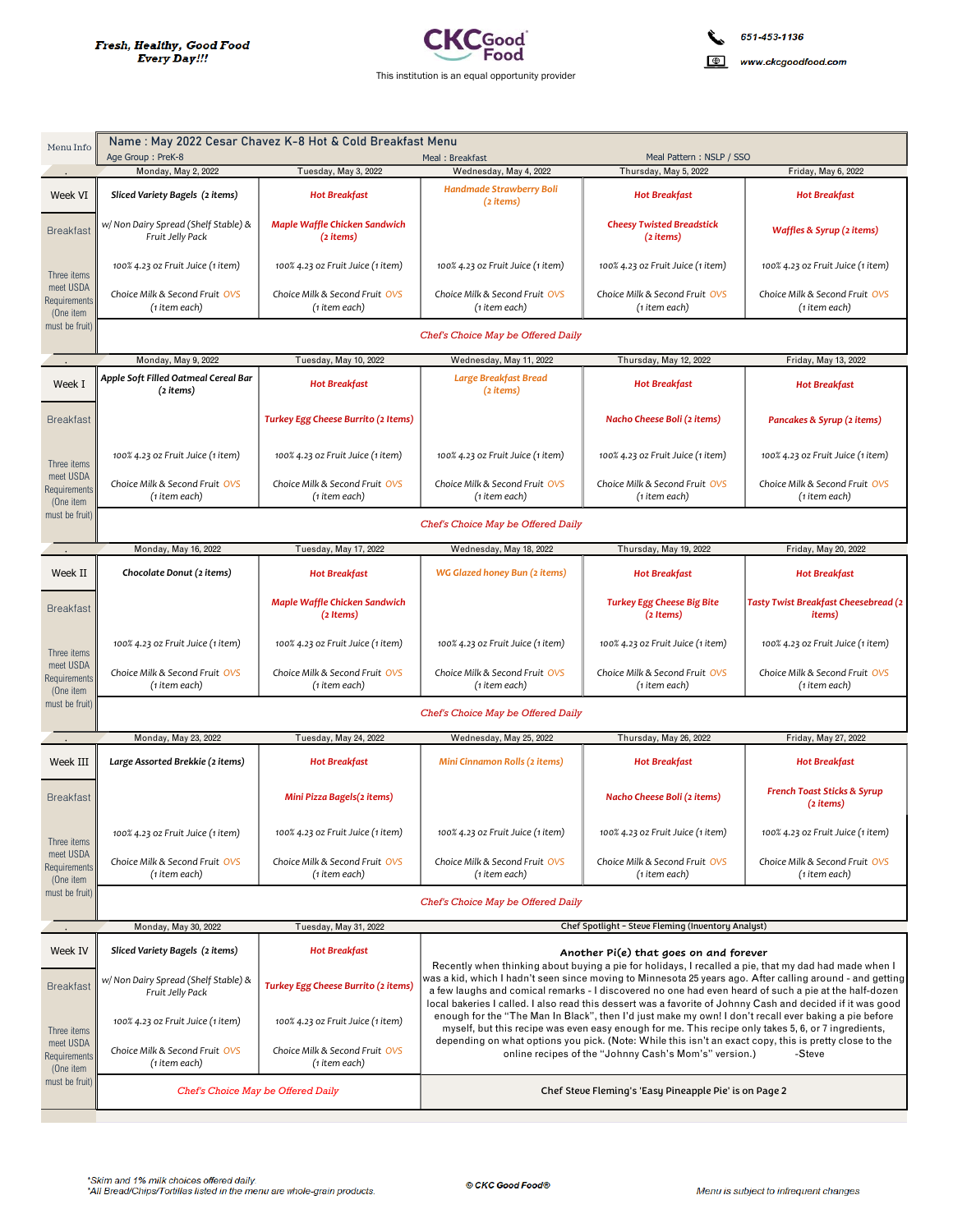

Name: May 2022 Cesar Chavez K-8 Hot & Cold Breakfast Menu Menu Info Age Group: PreK-8 Meal Pattern: NSLP / SSO Meal: Breakfast Tuesday, May 3, 2022 Friday, May 6, 2022 Monday May 2 2022 Wednesday May 4 2022 Thursday May 5 2022 **Handmade Strawberry Boli** Week VI **Hot Breakfast** Sliced Variety Bagels (2 items) **Hot Breakfast Hot Breakfast** (2 items) w/ Non Dairy Spread (Shelf Stable) & Maple Waffle Chicken Sandwich **Cheesy Twisted Breadstick Breakfast** Waffles & Syrup (2 items) Fruit Jelly Pack (2 items)  $(2$  items) 100% 4.23 oz Fruit Juice (1 item) 100% 4.23 oz Fruit Juice (1 item) 100% 4.23 oz Fruit Juice (1 item) 100% 4.23 oz Fruit Juice (1 item) 100% 4.23 oz Fruit Juice (1 item) Three items meet USDA Choice Milk & Second Fruit OVS Choice Milk & Second Fruit OVS Choice Milk & Second Fruit OVS Choice Milk & Second Fruit OVS Choice Milk & Second Fruit OVS **Requirements** (1 item each) (1 item each) (1 item each) (1 item each) (1 item each) (One item must be fruit Chef's Choice May be Offered Daily Monday May 9 2022 Tuesday, May 10, 2022 Wednesday May 11 2022 Thursday, May 12, 2022 Friday, May 13, 2022 Apple Soft Filled Oatmeal Cereal Bar Large Breakfast Bread Week T **Hot Breakfast Hot Breakfast Hot Breakfast**  $(2$  items)  $(2$  items) **Breakfast** Turkey Egg Cheese Burrito (2 Items) Nacho Cheese Boli (2 items) Pancakes & Syrup (2 items) 100% 4.23 oz Fruit Juice (1 item) 100% 4.23 oz Fruit Juice (1 item) 100% 4.23 oz Fruit Juice (1 item) 100% 4.23 oz Fruit Juice (1 item) 100% 4.23 oz Fruit Juice (1 item) Three items meet USDA Choice Milk & Second Fruit OVS Choice Milk & Second Fruit OVS Choice Milk & Second Fruit OVS Choice Milk & Second Fruit OVS Choice Milk & Second Fruit OVS Requirement (1 item each) (1 item each) (1 item each) (1 item each) (1 item each) (One item must be fruit Chef's Choice May be Offered Daily Wednesday, May 18, 2022 Monday, May 16, 2022 Tuesday, May 17, 2022 Thursday, May 19, 2022 Friday, May 20, 2022 Week II Chocolate Donut (2 items) WG Glazed honey Bun (2 items) **Hot Breakfast Hot Breakfast Hot Breakfast** Tasty Twist Breakfast Cheesebread (2 Maple Waffle Chicken Sandwich **Turkey Egg Cheese Big Bite Breakfast**  $(2$  Items $)$ (2 Items) *items*) 100% 4.23 oz Fruit Juice (1 item) 100% 4.23 oz Fruit Juice (1 item) 100% 4.23 oz Fruit Juice (1 item) 100% 4.23 oz Fruit Juice (1 item) 100% 4.23 oz Fruit Juice (1 item) Three items meet USDA Choice Milk & Second Fruit OVS Choice Milk & Second Fruit OVS Choice Milk & Second Fruit OVS Choice Milk & Second Fruit, OVS Choice Milk & Second Fruit OVS Requirement (1 item each) (1 item each) (1 item each) (1 item each) (1 item each)  $(One item)$ must be fruit Chef's Choice May be Offered Daily Monday, May 23, 2022 Tuesday, May 24, 2022 Wednesday, May 25, 2022 Thursday, May 26, 2022 Friday, May 27, 2022 Week III Large Assorted Brekkie (2 items) **Hot Breakfast** Mini Cinnamon Rolls (2 items) **Hot Breakfast Hot Breakfast French Toast Sticks & Syrup Breakfast** Mini Pizza Bagels(2 items) Nacho Cheese Boli (2 items)  $(2$  items) 100% 4.23 oz Fruit Juice (1 item) 100% 4.23 oz Fruit Juice (1 item) 100% 4.23 oz Fruit Juice (1 item) 100% 4.23 oz Fruit Juice (1 item) 100% 4.23 oz Fruit Juice (1 item) Three items meet USDA Choice Milk & Second Fruit OVS Choice Milk & Second Fruit OVS Choice Milk & Second Fruit OVS Choice Milk & Second Fruit OVS Choice Milk & Second Fruit OVS Requirement (1 item each) (1 item each) (1 item each) (1 item each) (1 item each)  $(One item)$ must be fruit Chef's Choice May be Offered Daily Chef Spotlight - Steve Fleming (Inventory Analyst) Monday, May 30, 2022 Tuesday, May 31, 2022 Week IV Sliced Variety Bagels (2 items) **Hot Breakfast** Another Pi(e) that goes on and forever Recently when thinking about buying a pie for holidays, I recalled a pie, that my dad had made when I vas a kid, which I hadn't seen since moving to Minnesota 25 years ago. After calling around - and getting w/ Non Dairy Spread (Shelf Stable) & **Breakfast** Turkey Egg Cheese Burrito (2 items) a few laughs and comical remarks - I discovered no one had even heard of such a pie at the half-dozen Fruit Jelly Pack local bakeries I called. I also read this dessert was a favorite of Johnny Cash and decided if it was good enough for the "The Man In Black", then I'd just make my own! I don't recall ever baking a pie before 100% 4.23 oz Fruit Juice (1 item) 100% 4.23 oz Fruit Juice (1 item) myself, but this recipe was even easy enough for me. This recipe only takes 5, 6, or 7 ingredients,<br>depending on what options you pick. (Note: While this isn't an exact copy, this is pretty close to the Three items meet USDA Choice Milk & Second Fruit OVS Choice Milk & Second Fruit OVS online recipes of the "Johnny Cash's Mom's" version.) -Steve **Requirements** (1 item each) (1 item each)  $(One item)$ must be fruit Chef's Choice May be Offered Daily Chef Steve Fleming's 'Easy Pineapple Pie' is on Page 2